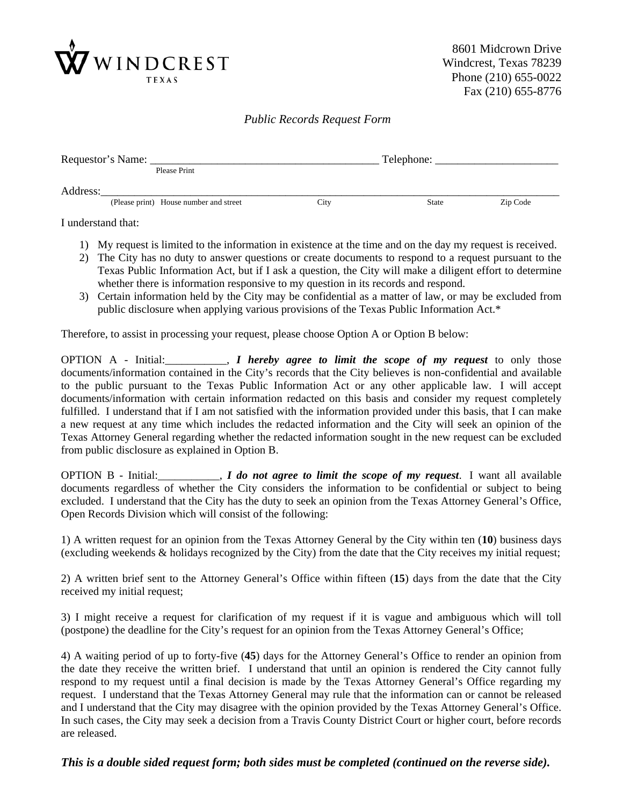

8601 Midcrown Drive Windcrest, Texas 78239 Phone (210) 655-0022 Fax (210) 655-8776

## *Public Records Request Form*

| Requestor's Name: |                                        |      | Telephone:   |          |
|-------------------|----------------------------------------|------|--------------|----------|
|                   | Please Print                           |      |              |          |
| Address:          |                                        |      |              |          |
|                   | (Please print) House number and street | City | <b>State</b> | Zip Code |

I understand that:

- 1) My request is limited to the information in existence at the time and on the day my request is received.
- 2) The City has no duty to answer questions or create documents to respond to a request pursuant to the Texas Public Information Act, but if I ask a question, the City will make a diligent effort to determine whether there is information responsive to my question in its records and respond.
- 3) Certain information held by the City may be confidential as a matter of law, or may be excluded from public disclosure when applying various provisions of the Texas Public Information Act.\*

Therefore, to assist in processing your request, please choose Option A or Option B below:

OPTION A - Initial:\_\_\_\_\_\_\_\_\_\_\_, *I hereby agree to limit the scope of my request* to only those documents/information contained in the City's records that the City believes is non-confidential and available to the public pursuant to the Texas Public Information Act or any other applicable law. I will accept documents/information with certain information redacted on this basis and consider my request completely fulfilled. I understand that if I am not satisfied with the information provided under this basis, that I can make a new request at any time which includes the redacted information and the City will seek an opinion of the Texas Attorney General regarding whether the redacted information sought in the new request can be excluded from public disclosure as explained in Option B.

OPTION B - Initial:\_\_\_\_\_\_\_\_\_\_\_, *I do not agree to limit the scope of my request*. I want all available documents regardless of whether the City considers the information to be confidential or subject to being excluded. I understand that the City has the duty to seek an opinion from the Texas Attorney General's Office, Open Records Division which will consist of the following:

1) A written request for an opinion from the Texas Attorney General by the City within ten (**10**) business days (excluding weekends & holidays recognized by the City) from the date that the City receives my initial request;

2) A written brief sent to the Attorney General's Office within fifteen (**15**) days from the date that the City received my initial request;

3) I might receive a request for clarification of my request if it is vague and ambiguous which will toll (postpone) the deadline for the City's request for an opinion from the Texas Attorney General's Office;

4) A waiting period of up to forty-five (**45**) days for the Attorney General's Office to render an opinion from the date they receive the written brief. I understand that until an opinion is rendered the City cannot fully respond to my request until a final decision is made by the Texas Attorney General's Office regarding my request. I understand that the Texas Attorney General may rule that the information can or cannot be released and I understand that the City may disagree with the opinion provided by the Texas Attorney General's Office. In such cases, the City may seek a decision from a Travis County District Court or higher court, before records are released.

*This is a double sided request form; both sides must be completed (continued on the reverse side).*